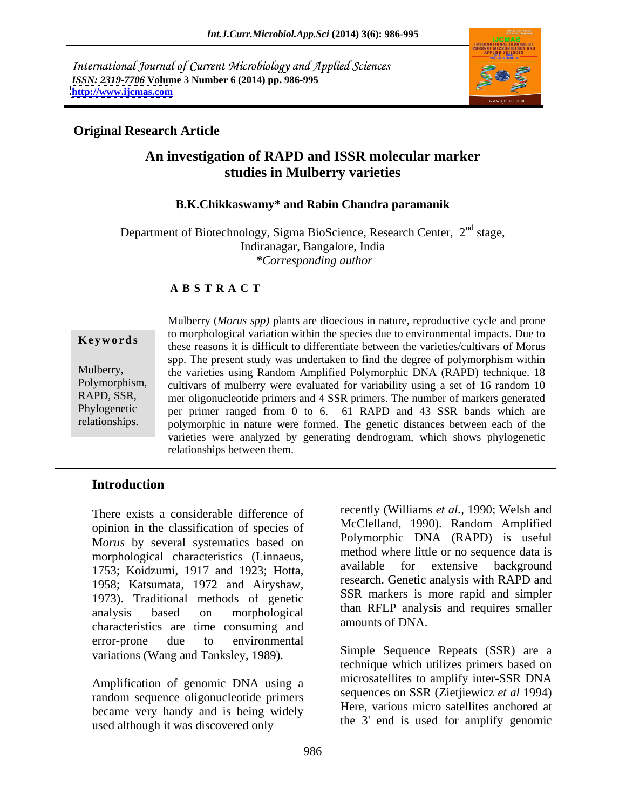International Journal of Current Microbiology and Applied Sciences *ISSN: 2319-7706* **Volume 3 Number 6 (2014) pp. 986-995 <http://www.ijcmas.com>**



## **Original Research Article**

# **An investigation of RAPD and ISSR molecular marker studies in Mulberry varieties**

#### **B.K.Chikkaswamy\* and Rabin Chandra paramanik**

Department of Biotechnology, Sigma BioScience, Research Center, 2<sup>nd</sup> stage, Indiranagar, Bangalore, India *\*Corresponding author* 

#### **A B S T R A C T**

**Keywords**these reasons it is difficult to differentiate between the varieties/cultivars of Morus Mulberry, the varieties using Random Amplified Polymorphic DNA (RAPD) technique. 18 Polymorphism, cultivars of mulberry were evaluated for variability using a set of 16 random 10 RAPD, SSR, mer oligonucleotide primers and 4 SSR primers. The number of markers generated Phylogenetic per primer ranged from 0 to 6. 61 RAPD and 43 SSR bands which are relationships. polymorphic in nature were formed. The genetic distances between each of the Mulberry (*Morus spp)* plants are dioecious in nature, reproductive cycle and prone to morphological variation within the species due to environmental impacts. Due to spp. The present study was undertaken to find the degree of polymorphism within varieties were analyzed by generating dendrogram, which shows phylogenetic relationships between them.

### **Introduction**

There exists a considerable difference of opinion in the classification of species of M*orus* by several systematics based on morphological characteristics (Linnaeus,<br>1752, Koidaumi 1017 and 1022, Hotto available for extensive background 1753; Koidzumi,1917 and 1923; Hotta, 1958; Katsumata, 1972 and Airyshaw, 1973). Traditional methods of genetic characteristics are time consuming and error-prone due to environmental variations (Wang and Tanksley, 1989).

Amplification of genomic DNA using a random sequence oligonucleotide primers became very handy and is being widely used although it was discovered only

analysis based on morphological than KFLP analysis and requires smaller recently (Williams *et al.,* 1990; Welsh and McClelland, 1990). Random Amplified Polymorphic DNA (RAPD) is useful method where little or no sequence data is available for extensive background research. Genetic analysis with RAPD and SSR markers is more rapid and simpler than RFLP analysis and requires smaller amounts of DNA.

> Simple Sequence Repeats (SSR) are a technique which utilizes primers based on microsatellites to amplify inter-SSR DNA sequences on SSR (Zietjiewicz *et al* 1994) Here, various micro satellites anchored at the 3' end is used for amplify genomic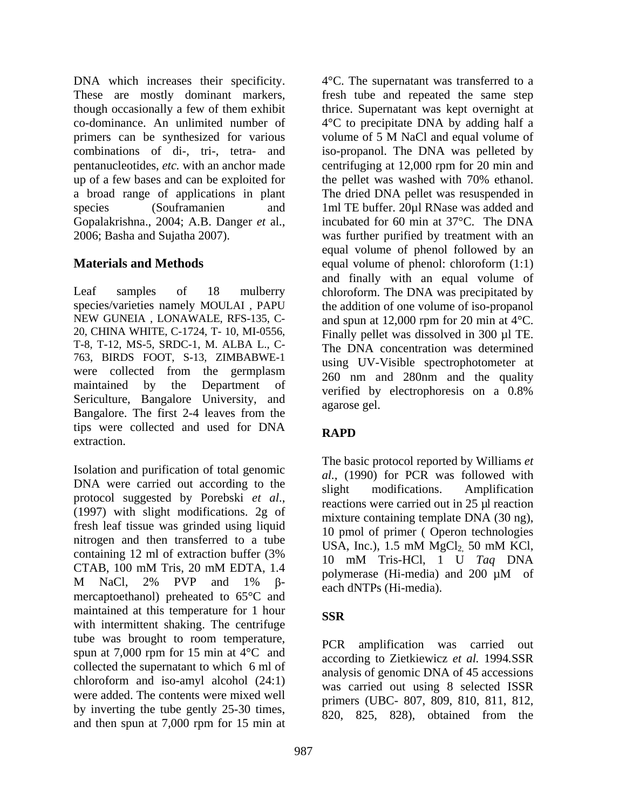DNA which increases their specificity.  $4^{\circ}$ C. The supernatant was transferred to a These are mostly dominant markers, though occasionally a few of them exhibit thrice. Supernatant was kept overnight at co-dominance. An unlimited number of 4°C to precipitate DNA by adding half a primers can be synthesized for various volume of 5 M NaCl and equal volume of combinations of di-, tri-, tetra- and pentanucleotides, *etc.* with an anchor made centrifuging at 12,000 rpm for 20 min and up of a few bases and can be exploited for the pellet was washed with 70% ethanol. a broad range of applications in plant The dried DNA pellet was resuspended in species (Souframanien and 1ml TE buffer. 20µl RNase was added and Gopalakrishna., 2004; A.B. Danger *et* al.,

Leaf samples of 18 mulberry chloroform. The DNA was precipitated by species/varieties namely MOULAI , PAPU the addition of one volume of iso-propanol NEW GUNEIA, LONAWALE, RFS-135, C- and spun at 12,000 rpm for 20 min at 4<sup>o</sup>C. 20, CHINA WHITE, C-1724, T- 10, MI-0556, Finally pellet was dissolved in 300 µl TE. T-8, T-12, MS-5, SRDC-1, M. ALBA L., C- 763, BIRDS FOOT, S-13, ZIMBABWE-1 were collected from the germplasm maintained by the Department of verified by electrophoresis on a 0.8% Sericulture, Bangalore University, and agarose gel. Bangalore. The first 2-4 leaves from the tips were collected and used for DNA RAPD extraction.

Isolation and purification of total genomic DNA were carried out according to the slight modifications. Amplification protocol suggested by Porebski *et al.*,<br>(1997) with slight modifications. 2g of mixture containing templete DNA (30 pg) fresh leaf tissue was grinded using liquid nitrogen and then transferred to a tube  $USA$ , Inc.), 1.5 mM  $MgCl<sub>2</sub>$  50 mM KCl, containing 12 ml of extraction buffer  $(3\%$  and  $(3\%)$  and  $(10\%$  mM  $T$ ris-HCl  $(1\%$  II  $T_{00}$  DNA CTAB,  $100 \text{ mM Tris}$ ,  $20 \text{ mM EDTA}$ ,  $1.4 \text{ m}$  matrix  $115 \text{ I/C}$ ,  $1 \text{ C}$   $14q$   $210 \text{ m}$ M NaCl,  $2\%$  PVP and  $1\%$   $\beta$ -  $\beta$ -  $\beta$ -  $\beta$ -  $\beta$ -  $\beta$ -  $\beta$ -  $\beta$ -  $\beta$ -  $\beta$ -  $\beta$ -  $\beta$ -  $\beta$ -  $\beta$ -  $\beta$ -  $\beta$ -  $\beta$ -  $\beta$ -  $\beta$ -  $\beta$ -  $\beta$ -  $\beta$ -  $\beta$ -  $\beta$ -  $\beta$ -  $\beta$ -  $\beta$ -  $\beta$ -  $\beta$ -  $\beta$ -  $\beta$ -  $\beta$  mercaptoethanol) preheated to 65°C and maintained at this temperature for 1 hour **SSR** with intermittent shaking. The centrifuge tube was brought to room temperature, PCR spun at 7,000 rpm for 15 min at  $\overline{4}^{\circ}$ C and collected the supernatant to which  $6 \text{ ml of}$ <br>chloroform and iso-amyl alcohol  $(24:1)$ chloroform and iso-amyl alcohol  $(24:1)$  analysis of general  $\alpha$  are  $\alpha$  is algorithment. were added. The contents were mixed well by inverting the tube gently 25-30 times, and then spun at 7,000 rpm for 15 min at

2006; Basha and Sujatha 2007). was further purified by treatment with an **Materials and Methods** equal volume of phenol: chloroform (1:1) fresh tube and repeated the same step volume of 5 M NaCl and equal volume of iso-propanol. The DNA was pelleted by the pellet was washed with 70% ethanol. incubated for 60 min at 37°C. The DNA equal volume of phenol followed by an and finally with an equal volume of The DNA concentration was determined using UV-Visible spectrophotometer at 260 nm and 280nm and the quality verified by electrophoresis on a 0.8% agarose gel.

## **RAPD**

The basic protocol reported by Williams *et al.,* (1990) for PCR was followed with slight modifications. Amplification reactions were carried out in 25 µl reaction mixture containing template DNA (30 ng), 10 pmol of primer ( Operon technologies USA, Inc.),  $1.5 \text{ mM } MgCl<sub>2</sub>$ ,  $50 \text{ mM } KCl$ , 10 mM Tris-HCl, 1 U *Taq* DNA polymerase (Hi-media) and 200 µM of each dNTPs (Hi-media).

## **SSR**

amplification was carried out according to Zietkiewicz *et al.* 1994*.*SSR analysis of genomic DNA of 45 accessions was carried out using 8 selected ISSR primers (UBC- 807, 809, 810, 811, 812, 820, 825, 828), obtained from the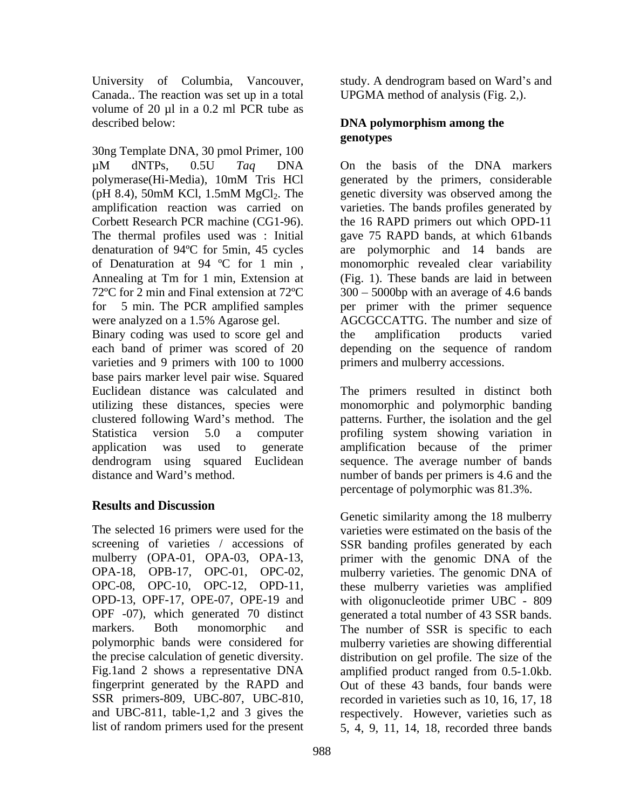Canada.. The reaction was set up in a total volume of 20 µl in a 0.2 ml PCR tube as described below: **DNA polymorphism among the** 

30ng Template DNA, 30 pmol Primer, 100 µM dNTPs, 0.5U *Taq* DNA polymerase(Hi-Media), 10mM Tris HCl (pH 8.4), 50mM KCl, 1.5mM  $MgCl<sub>2</sub>$ . The genetic diversity was observed among the amplification reaction was carried on varieties. The bands profiles generated by Corbett Research PCR machine (CG1-96). the 16 RAPD primers out which OPD-11 The thermal profiles used was : Initial denaturation of 94ºC for 5min, 45 cycles of Denaturation at 94 °C for 1 min, monomorphic revealed clear variability Annealing at Tm for 1 min, Extension at (Fig. 1). These bands are laid in between 72°C for 2 min and Final extension at 72°C 300 – 5000bp with an average of 4.6 bands for 5 min. The PCR amplified samples per primer with the primer sequence were analyzed on a 1.5% Agarose gel. AGCGCCATTG. The number and size of Binary coding was used to score gel and the amplification products varied each band of primer was scored of 20 depending on the sequence of random varieties and 9 primers with 100 to 1000 base pairs marker level pair wise. Squared Euclidean distance was calculated and The primers resulted in distinct both utilizing these distances, species were monomorphic and polymorphic banding clustered following Ward's method. The patterns. Further, the isolation and the gel Statistica version 5.0 a computer profiling system showing variation in application was used to generate amplification because of the primer dendrogram using squared Euclidean

# **Results and Discussion**

SSR primers-809, UBC-807, UBC-810, list of random primers used for the present 5, 4, 9, 11, 14, 18, recorded three bands

University of Columbia, Vancouver, study. A dendrogram based on Ward's and UPGMA method of analysis (Fig. 2,).

# **genotypes**

On the basis of the DNA markers generated by the primers, considerable genetic diversity was observed among the gave 75 RAPD bands, at which 61bands are polymorphic and 14 bands the amplification products varied primers and mulberry accessions.

distance and Ward's method. humber of bands per primers is 4.6 and the sequence. The average number of bands percentage of polymorphic was 81.3%.

The selected 16 primers were used for the varieties were estimated on the basis of the screening of varieties / accessions of SSR banding profiles generated by each mulberry (OPA-01, OPA-03, OPA-13, primer with the genomic DNA of the OPA-18, OPB-17, OPC-01, OPC-02, mulberry varieties. The genomic DNA of OPC-08, OPC-10, OPC-12, OPD-11, these mulberry varieties was amplified OPD-13, OPF-17, OPE-07, OPE-19 and with oligonucleotide primer UBC - 809 OPF -07), which generated 70 distinct generated a total number of 43 SSR bands. markers. Both monomorphic and The number of SSR is specific to each polymorphic bands were considered for mulberry varieties are showing differential the precise calculation of genetic diversity. distribution on gel profile. The size of the Fig.1and 2 shows a representative DNA amplified product ranged from 0.5-1.0kb. fingerprint generated by the RAPD and Out of these 43 bands, four bands were and UBC-811, table-1,2 and 3 gives the respectively. However, varieties such as Genetic similarity among the 18 mulberry recorded in varieties such as 10, 16, 17, 18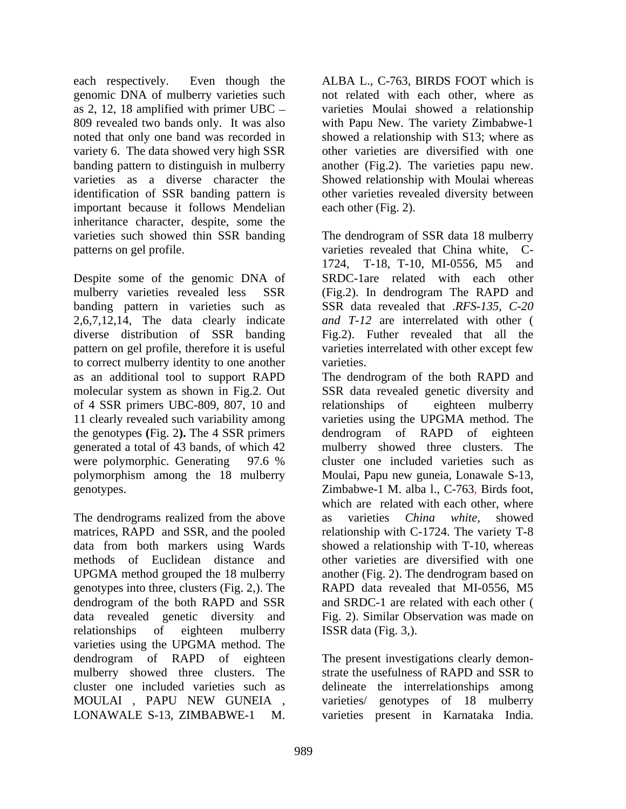each respectively. Even though the ALBA L., C-763, BIRDS FOOT which is genomic DNA of mulberry varieties such as 2, 12, 18 amplified with primer UBC varieties Moulai showed a relationship 809 revealed two bands only. It was also with Papu New. The variety Zimbabwe-1 noted that only one band was recorded in showed a relationship with S13; where as variety 6. The data showed very high SSR banding pattern to distinguish in mulberry another (Fig.2). The varieties papu new. varieties as a diverse character the Showed relationship with Moulai whereas identification of SSR banding pattern is important because it follows Mendelian inheritance character, despite, some the varieties such showed thin SSR banding The dendrogram of SSR data 18 mulberry

Despite some of the genomic DNA of mulberry varieties revealed less SSR (Fig.2). In dendrogram The RAPD and banding pattern in varieties such as SSR data revealed that .*RFS-135, C-20*  2,6,7,12,14, The data clearly indicate diverse distribution of SSR banding pattern on gel profile, therefore it is useful varieties interrelated with other except few to correct mulberry identity to one another as an additional tool to support RAPD The dendrogram of the both RAPD and molecular system as shown in Fig.2. Out SSR data revealed genetic diversity and of 4 SSR primers UBC-809, 807, 10 and relationships of eighteen mulberry 11 clearly revealed such variability among the genotypes **(**Fig. 2**).** The 4 SSR primers generated a total of 43 bands, of which 42 were polymorphic. Generating 97.6 % cluster one included varieties such as polymorphism among the 18 mulberry Moulai, Papu new guneia, Lonawale S-13, genotypes. Zimbabwe-1 M. alba l., C-763, Birds foot,

The dendrograms realized from the above as varieties *China white*, showed matrices, RAPD and SSR, and the pooled relationship with C-1724. The variety T-8 data from both markers using Wards showed a relationship with T-10, whereas methods of Euclidean distance and other varieties are diversified with one UPGMA method grouped the 18 mulberry another (Fig. 2). The dendrogram based on genotypes into three, clusters (Fig. 2,). The dendrogram of the both RAPD and SSR data revealed genetic diversity and Fig. 2). Similar Observation was made on relationships of eighteen mulberry ISSR data (Fig. 3,). varieties using the UPGMA method. The dendrogram of RAPD of eighteen The present investigations clearly demon mulberry showed three clusters. The strate the usefulness of RAPD and SSR to cluster one included varieties such as delineate the interrelationships among MOULAI , PAPU NEW GUNEIA ,

not related with each other, where as other varieties are diversified with one another (Fig.2). The varieties papu new. Showed relationship with Moulai whereas other varieties revealed diversity between each other (Fig. 2).

patterns on gel profile. varieties revealed that China white, C- 1724, T-18, T-10, MI-0556, M5 and SRDC-1are related with each other *and T-12* are interrelated with other ( Fig.2). Futher revealed that all the varieties.

> relationships of eighteen mulberry varieties using the UPGMA method. The dendrogram of RAPD of eighteen mulberry showed three clusters. The cluster one included varieties such as which are related with each other, where as varieties *China white,* showed RAPD data revealed that MI-0556, M5 and SRDC-1 are related with each other ( ISSR data (Fig. 3,).

LONAWALE S-13, ZIMBABWE-1 M. varieties present in Karnataka India.strate the usefulness of RAPD and SSR to varieties/ genotypes of 18 mulberry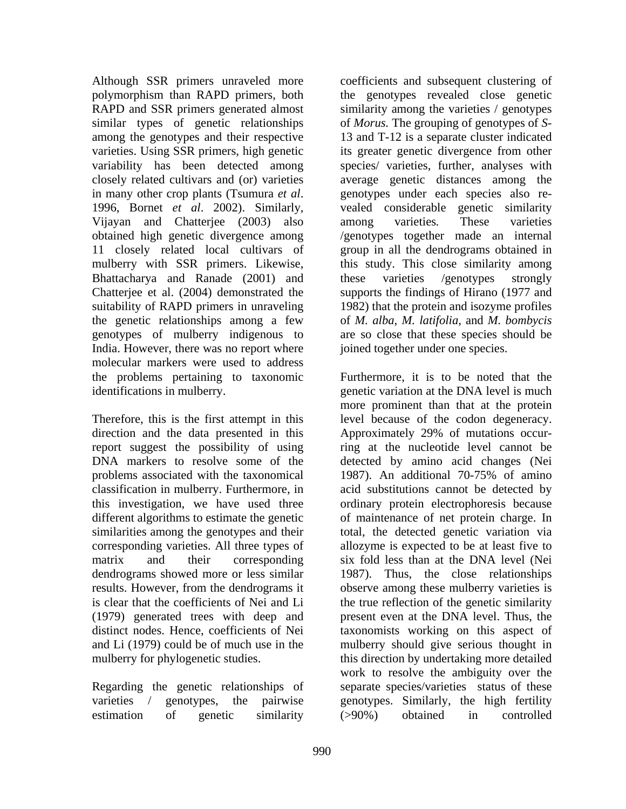Although SSR primers unraveled more similar types of genetic relationships varieties. Using SSR primers, high genetic Vijayan and Chatterjee (2003) also among varieties. These varieties Bhattacharya and Ranade (2001) and these varieties /genotypes strongly genotypes of mulberry indigenous to India. However, there was no report where molecular markers were used to address

direction and the data presented in this Approximately 29% of mutations occurproblems associated with the taxonomical

Regarding the genetic relationships of estimation of genetic similarity (>90%) obtained in controlled

polymorphism than RAPD primers, both the genotypes revealed close genetic RAPD and SSR primers generated almost similarity among the varieties / genotypes among the genotypes and their respective 13 and T-12 is a separate cluster indicated variability has been detected among species/ varieties, further, analyses with closely related cultivars and (or) varieties average genetic distances among the in many other crop plants (Tsumura *et al*. 1996, Bornet *et al*. 2002). Similarly, obtained high genetic divergence among /genotypes together made an internal 11 closely related local cultivars of group in all the dendrograms obtained in mulberry with SSR primers. Likewise, this study. This close similarity among Chatterjee et al. (2004) demonstrated the supports the findings of Hirano (1977 and suitability of RAPD primers in unraveling 1982) that the protein and isozyme profiles the genetic relationships among a few of *M. alba, M. latifolia,* and *M. bombycis* coefficients and subsequent clustering of of *Morus.* The grouping of genotypes of *S* its greater genetic divergence from other genotypes under each species also re vealed considerable genetic similarity among varieties*.* These varieties these varieties /genotypes strongly are so close that these species should be joined together under one species.

the problems pertaining to taxonomic Furthermore, it is to be noted that the identifications in mulberry. genetic variation at the DNA level is much Therefore, this is the first attempt in this level because of the codon degeneracy. report suggest the possibility of using ing at the nucleotide level cannot be DNA markers to resolve some of the detected by amino acid changes (Nei classification in mulberry. Furthermore, in acid substitutions cannot be detected by this investigation, we have used three ordinary protein electrophoresis because different algorithms to estimate the genetic of maintenance of net protein charge. In similarities among the genotypes and their total, the detected genetic variation via corresponding varieties. All three types of allozyme is expected to be at least five to matrix and their corresponding six fold less than at the DNA level (Nei dendrograms showed more or less similar 1987). Thus, the close relationships results. However, from the dendrograms it observe among these mulberry varieties is is clear that the coefficients of Nei and Li the true reflection of the genetic similarity (1979) generated trees with deep and present even at the DNA level. Thus, the distinct nodes. Hence, coefficients of Nei taxonomists working on this aspect of and Li (1979) could be of much use in the mulberry should give serious thought in mulberry for phylogenetic studies. this direction by undertaking more detailed varieties / genotypes, the pairwise genotypes. Similarly, the high fertility more prominent than that at the protein Approximately 29% of mutations occur-1987). An additional 70-75% of amino work to resolve the ambiguity over the separate species/varieties status of these (>90%) obtained in controlled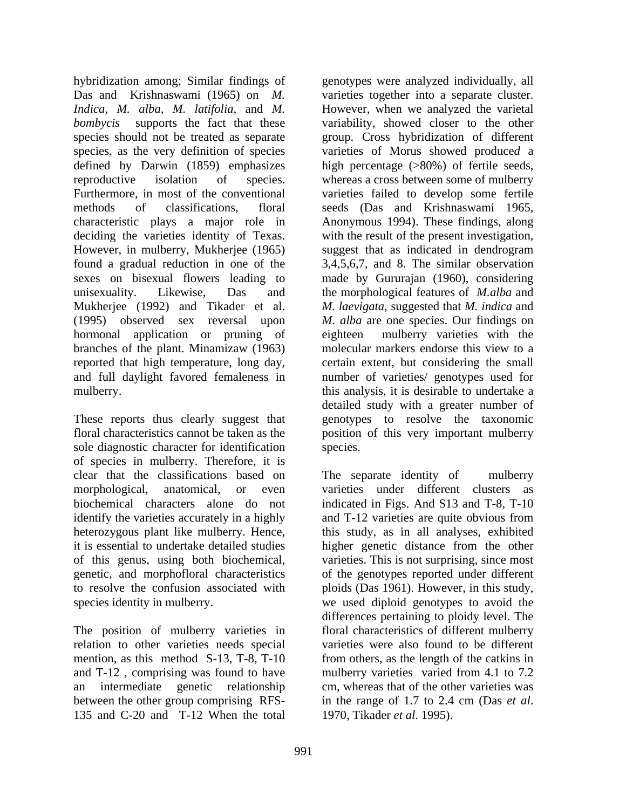hybridization among; Similar findings of genotypes were analyzed individually, all Das and Krishnaswami (1965) on *M.*  varieties together into a separate cluster. *Indica, M. alba, M. latifolia,* and *M.*  However, when we analyzed the varietal *bombycis* supports the fact that these variability, showed closer to the other species should not be treated as separate group. Cross hybridization of different species, as the very definition of species varieties of Morus showed produced a defined by Darwin (1859) emphasizes high percentage (>80%) of fertile seeds, reproductive isolation of species. whereas a cross between some of mulberry Furthermore, in most of the conventional varieties failed to develop some fertile methods of classifications, floral seeds (Das and Krishnaswami 1965, characteristic plays a major role in Anonymous 1994). These findings, along deciding the varieties identity of Texas. With the result of the present investigation,<br>However, in mulberry, Mukherjee (1965) suggest that as indicated in dendrogram found a gradual reduction in one of the 3,4,5,6,7, and 8. The similar observation sexes on bisexual flowers leading to made by Gururajan (1960), considering unisexuality. Likewise, Das and the morphological features of *M.alba* and Mukherjee (1992) and Tikader et al. *M. laevigata,* suggested that *M. indica* and (1995) observed sex reversal upon *M. alba* are one species. Our findings on hormonal application or pruning of branches of the plant. Minamizaw (1963) molecular markers endorse this view to a reported that high temperature, long day, certain extent, but considering the small and full daylight favored femaleness in number of varieties/ genotypes used for

These reports thus clearly suggest that floral characteristics cannot be taken as the position of this very important mulberry sole diagnostic character for identification species. of species in mulberry. Therefore, it is clear that the classifications based on The separate identity of mulberry morphological, anatomical, or even varieties under different clusters as biochemical characters alone do not indicated in Figs. And S13 and T-8, T-10 identify the varieties accurately in a highly and T-12 varieties are quite obvious from heterozygous plant like mulberry. Hence, this study, as in all analyses, exhibited it is essential to undertake detailed studies higher genetic distance from the other of this genus, using both biochemical, varieties. This is not surprising, since most genetic, and morphofloral characteristics of the genotypes reported under different to resolve the confusion associated with ploids (Das 1961). However, in this study,

The position of mulberry varieties in relation to other varieties needs special mention, as this method S-13, T-8, T-10 and T-12, comprising was found to have mulberry varieties varied from 4.1 to 7.2 an intermediate genetic relationship between the other group comprising RFS-<br>in the range of 1.7 to 2.4 cm (Das *et al.*) 135 and C-20 and T-12 When the total 1970. Tikader *et al.* 1995).

mulberry. this analysis, it is desirable to undertake a with the result of the present investigation,<br>suggest that as indicated in dendrogram mulberry varieties with the molecular markers endorse this view to a detailed study with a greater number of genotypes to resolve the taxonomic species.

species identity in mulberry. we used diploid genotypes to avoid the The separate identity of mulberry and T-12 varieties are quite obvious from varieties. This is not surprising, since most of the genotypes reported under different differences pertaining to ploidy level. The floral characteristics of different mulberry varieties were also found to be different from others, as the length of the catkins in mulberry varieties varied from 4.1 to 7.2 cm, whereas that of the other varieties was in the range of 1.7 to 2.4 cm (Das *et al*. 1970, Tikader *et al*. 1995).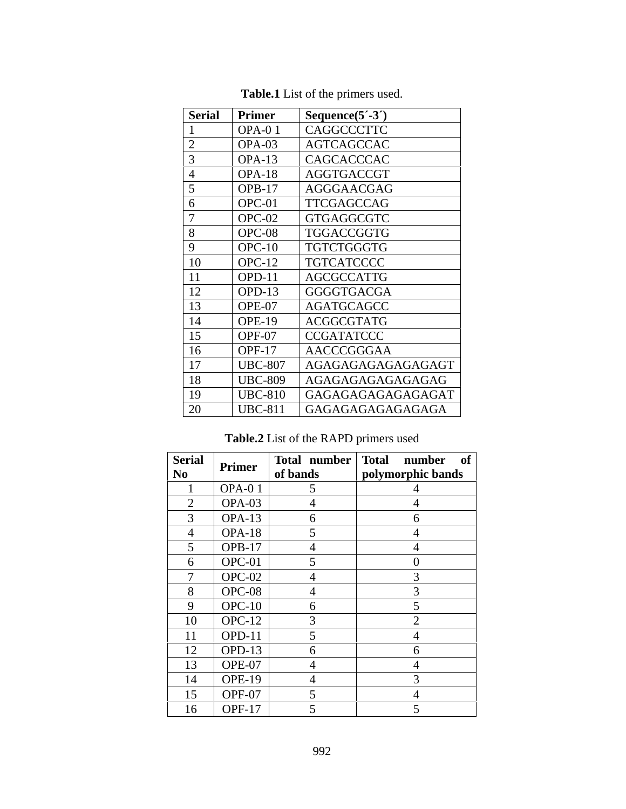| <b>Serial</b>                | <b>Primer</b>  | Sequence $(5^{\prime}$ -3 <sup>*</sup> ) |
|------------------------------|----------------|------------------------------------------|
|                              | OPA-01         | <b>CAGGCCCTTC</b>                        |
|                              | $OPA-03$       | AGTCAGCCAC                               |
|                              | $OPA-13$       | CAGCACCCAC                               |
|                              | $OPA-18$       | AGGTGACCGT                               |
|                              | <b>OPB-17</b>  | AGGGAACGAG                               |
|                              | OPC-01         | TTCGAGCCAG                               |
|                              | OPC-02         | <b>GTGAGGCGTC</b>                        |
| 8                            | OPC-08         | TGGACCGGTG                               |
| - 9                          | $OPC-10$       | TGTCTGGGTG                               |
| 10                           | OPC-12         | <b>TGTCATCCCC</b>                        |
| 11                           | OPD-11         | AGCGCCATTG                               |
| 12                           | OPD-13         | GGGGTGACGA                               |
| 13                           | OPE-07         | AGATGCAGCC                               |
| 14                           | OPE-19         | ACGGCGTATG                               |
| 15                           | OPF-07         | CCGATATCCC                               |
| 16                           | OPF-17         | AACCCGGGAA                               |
| 17                           | <b>UBC-807</b> | AGAGAGAGAGAGAGAGT                        |
| and the control of the<br>18 | <b>UBC-809</b> | AGAGAGAGAGAGAGAG                         |
| 19                           | <b>UBC-810</b> | GAGAGAGAGAGAGAGAT                        |
| 20                           | <b>UBC-811</b> | GAGAGAGAGAGAGAGA                         |

**Table.1** List of the primers used.

# **Table.2** List of the RAPD primers used

| Serial<br>No               | Primer        | Total number Total | number of         |
|----------------------------|---------------|--------------------|-------------------|
|                            |               | of bands           | polymorphic bands |
|                            | OPA-01        |                    |                   |
| $\sim$<br>$\angle$         | OPA-03        | $\overline{4}$     |                   |
| $\bigcap$<br>$\mathcal{I}$ | $OPA-13$      | 6                  | $\sigma$          |
| 4                          | $OPA-18$      | 5                  |                   |
|                            | $OPB-17$      | $\overline{4}$     |                   |
| $\sigma$                   | OPC-01        | $\leq$             | $\theta$          |
|                            | OPC-02        |                    |                   |
| 8                          | OPC-08        | 4                  |                   |
| 9                          | $OPC-10$      | 6                  |                   |
| 10                         | $OPC-12$      | $\overline{3}$     |                   |
| -11                        | OPD-11        |                    |                   |
| 12                         | $OPD-13$      | 6                  | $\sigma$          |
| 13                         | OPE-07        | 4                  |                   |
| 14                         | <b>OPE-19</b> | $\overline{4}$     | $\sim$            |
| 15                         | OPF-07        | $\leq$             |                   |
| 16                         | <b>OPF-17</b> |                    |                   |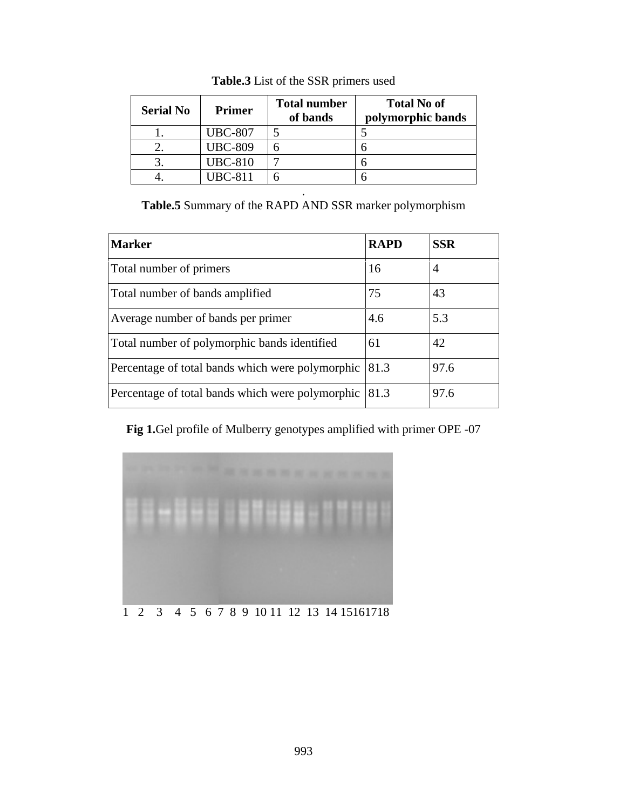| <b>Serial No</b> | Primer         | <b>Total number</b> | <b>Total No of</b> |  |
|------------------|----------------|---------------------|--------------------|--|
|                  |                | of bands            | polymorphic bands  |  |
| . .              | <b>UBC-807</b> |                     |                    |  |
|                  | <b>UBC-809</b> |                     |                    |  |
|                  | <b>UBC-810</b> |                     |                    |  |
|                  | <b>UBC-811</b> |                     |                    |  |

**Table.3** List of the SSR primers used

**Table.5** Summary of the RAPD AND SSR marker polymorphism

. A construction of the construction of the construction of the construction of the construction of the construction of the construction of the construction of the construction of the construction of the construction of th

| <b>Marker</b>                                             | RAPD           | <b>SSR</b> |
|-----------------------------------------------------------|----------------|------------|
| Total number of primers                                   |                |            |
| Total number of bands amplified                           | $\overline{a}$ |            |
| Average number of bands per primer                        | 4.6            | 5.3        |
| Total number of polymorphic bands identified              |                |            |
| Percentage of total bands which were polymorphic 81.3     |                | 97.6       |
| Percentage of total bands which were polymorphic $ 81.3 $ |                | 97.6       |

**Fig 1.**Gel profile of Mulberry genotypes amplified with primer OPE -07

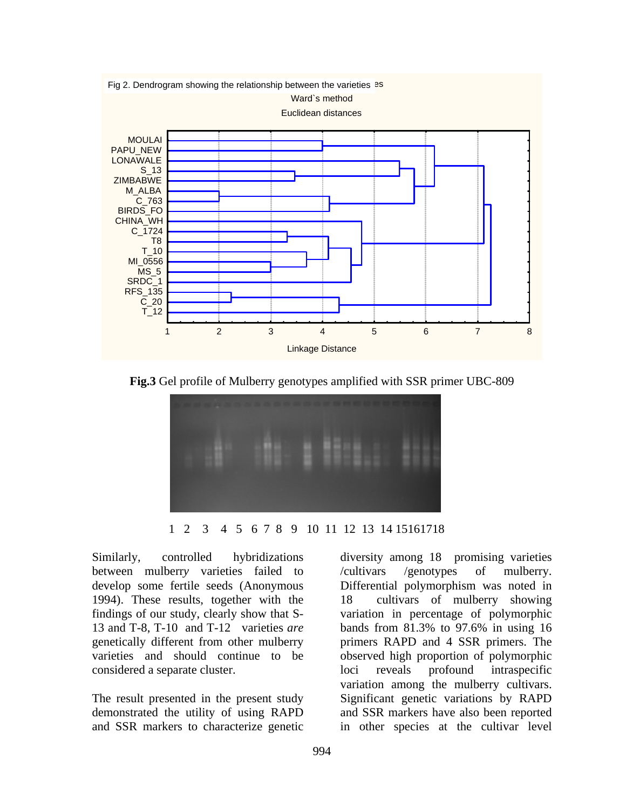

**Fig.3** Gel profile of Mulberry genotypes amplified with SSR primer UBC-809



1 2 3 4 5 6 7 8 9 10 11 12 13 14 15161718

Similarly, controlled hybridizations diversity among 18 promising varieties between mulberry varieties failed to /cultivars /genotypes of mulberry. 1994). These results, together with the 13 and T-8, T-10 and T-12 varieties *are* considered a separate cluster.

and SSR markers to characterize genetic in other species at the cultivar level

develop some fertile seeds (Anonymous Differential polymorphism was noted in findings of our study, clearly show that S- variation in percentage of polymorphic genetically different from other mulberry primers RAPD and 4 SSR primers. The varieties and should continue to be observed high proportion of polymorphic The result presented in the present study Significant genetic variations by RAPD demonstrated the utility of using RAPD and SSR markers have also been reported /cultivars /genotypes of mulberry. cultivars of mulberry showing bands from 81.3% to 97.6% in using 16 loci reveals profound intraspecific variation among the mulberry cultivars.